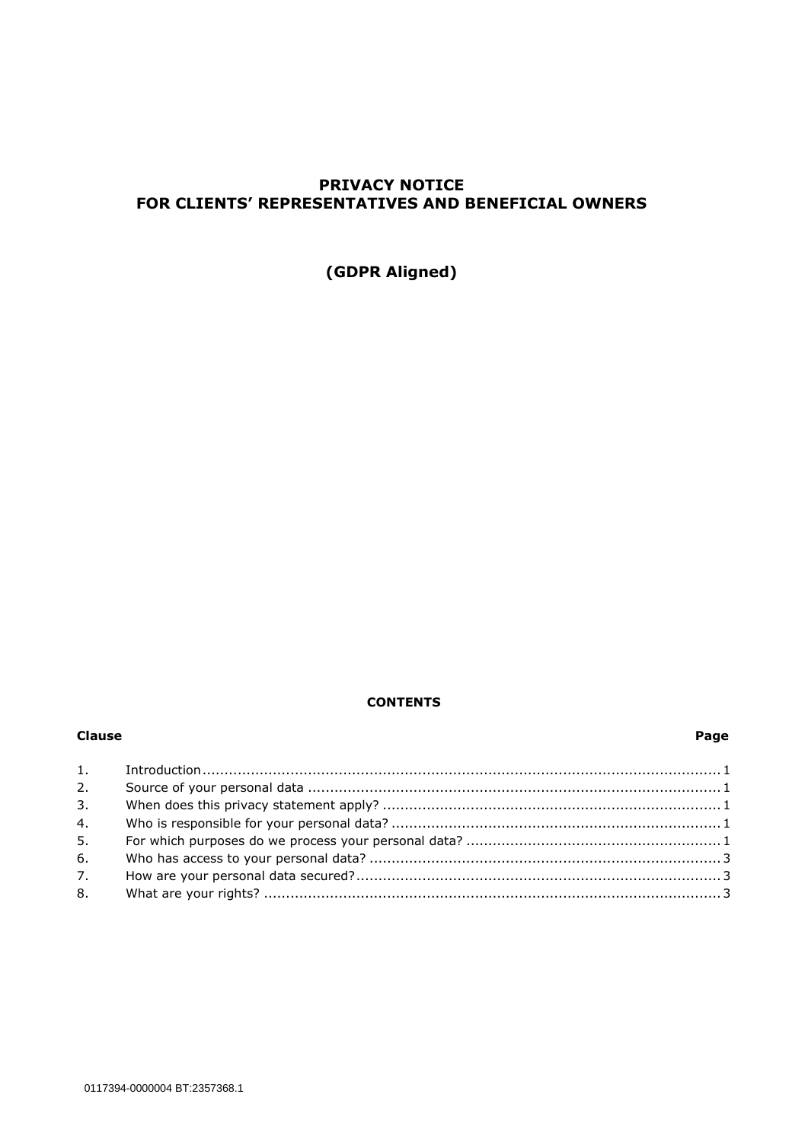# **PRIVACY NOTICE FOR CLIENTS' REPRESENTATIVES AND BENEFICIAL OWNERS**

**(GDPR Aligned)**

# **CONTENTS**

#### **Clause Page**

| 2. |  |
|----|--|
| 3. |  |
| 4. |  |
| 5. |  |
| 6. |  |
| 7. |  |
| 8. |  |
|    |  |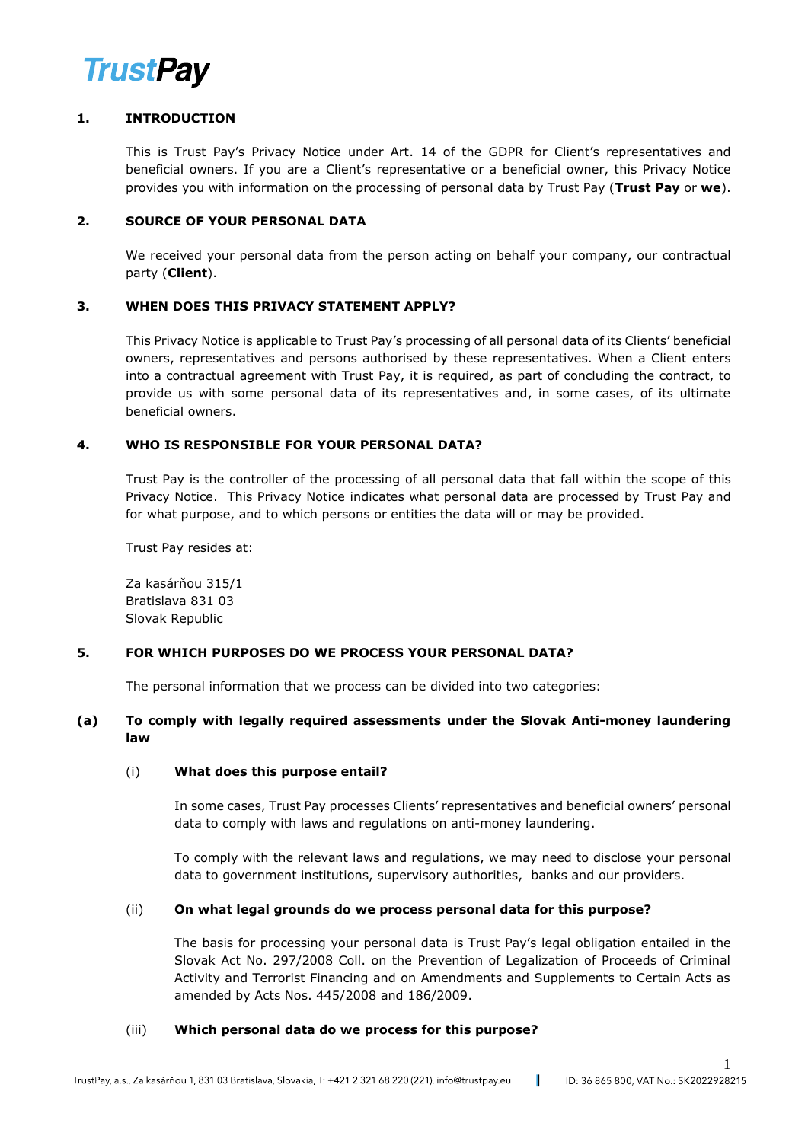

# **1. INTRODUCTION**

This is Trust Pay's Privacy Notice under Art. 14 of the GDPR for Client's representatives and beneficial owners. If you are a Client's representative or a beneficial owner, this Privacy Notice provides you with information on the processing of personal data by Trust Pay (**Trust Pay** or **we**).

### **2. SOURCE OF YOUR PERSONAL DATA**

We received your personal data from the person acting on behalf your company, our contractual party (**Client**).

# **3. WHEN DOES THIS PRIVACY STATEMENT APPLY?**

This Privacy Notice is applicable to Trust Pay's processing of all personal data of its Clients' beneficial owners, representatives and persons authorised by these representatives. When a Client enters into a contractual agreement with Trust Pay, it is required, as part of concluding the contract, to provide us with some personal data of its representatives and, in some cases, of its ultimate beneficial owners.

# **4. WHO IS RESPONSIBLE FOR YOUR PERSONAL DATA?**

Trust Pay is the controller of the processing of all personal data that fall within the scope of this Privacy Notice. This Privacy Notice indicates what personal data are processed by Trust Pay and for what purpose, and to which persons or entities the data will or may be provided.

Trust Pay resides at:

Za kasárňou 315/1 Bratislava 831 03 Slovak Republic

#### **5. FOR WHICH PURPOSES DO WE PROCESS YOUR PERSONAL DATA?**

The personal information that we process can be divided into two categories:

# **(a) To comply with legally required assessments under the Slovak Anti-money laundering law**

#### (i) **What does this purpose entail?**

In some cases, Trust Pay processes Clients' representatives and beneficial owners' personal data to comply with laws and regulations on anti-money laundering.

To comply with the relevant laws and regulations, we may need to disclose your personal data to government institutions, supervisory authorities, banks and our providers.

#### (ii) **On what legal grounds do we process personal data for this purpose?**

The basis for processing your personal data is Trust Pay's legal obligation entailed in the Slovak Act No. 297/2008 Coll. on the Prevention of Legalization of Proceeds of Criminal Activity and Terrorist Financing and on Amendments and Supplements to Certain Acts as amended by Acts Nos. 445/2008 and 186/2009.

1

#### (iii) **Which personal data do we process for this purpose?**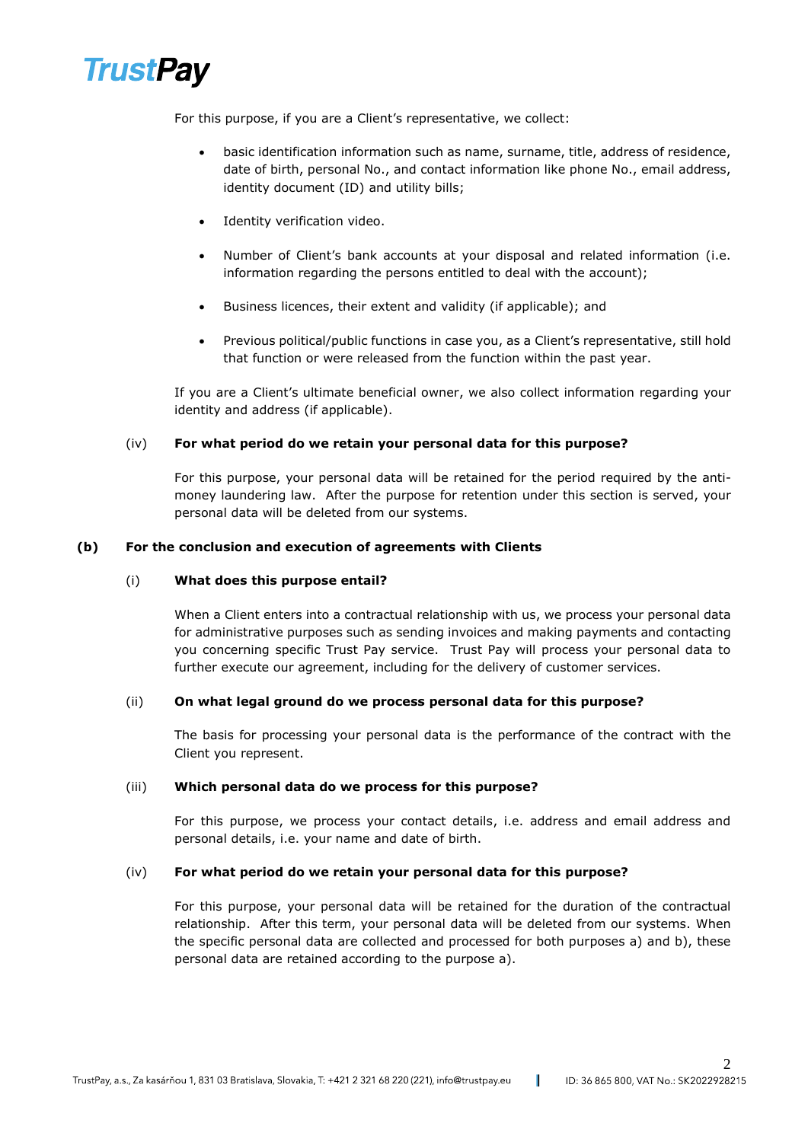

For this purpose, if you are a Client's representative, we collect:

- basic identification information such as name, surname, title, address of residence, date of birth, personal No., and contact information like phone No., email address, identity document (ID) and utility bills;
- Identity verification video.
- Number of Client's bank accounts at your disposal and related information (i.e. information regarding the persons entitled to deal with the account);
- Business licences, their extent and validity (if applicable); and
- Previous political/public functions in case you, as a Client's representative, still hold that function or were released from the function within the past year.

If you are a Client's ultimate beneficial owner, we also collect information regarding your identity and address (if applicable).

#### (iv) **For what period do we retain your personal data for this purpose?**

For this purpose, your personal data will be retained for the period required by the antimoney laundering law. After the purpose for retention under this section is served, your personal data will be deleted from our systems.

#### **(b) For the conclusion and execution of agreements with Clients**

#### (i) **What does this purpose entail?**

When a Client enters into a contractual relationship with us, we process your personal data for administrative purposes such as sending invoices and making payments and contacting you concerning specific Trust Pay service. Trust Pay will process your personal data to further execute our agreement, including for the delivery of customer services.

#### (ii) **On what legal ground do we process personal data for this purpose?**

The basis for processing your personal data is the performance of the contract with the Client you represent.

#### (iii) **Which personal data do we process for this purpose?**

For this purpose, we process your contact details, i.e. address and email address and personal details, i.e. your name and date of birth.

#### (iv) **For what period do we retain your personal data for this purpose?**

For this purpose, your personal data will be retained for the duration of the contractual relationship. After this term, your personal data will be deleted from our systems. When the specific personal data are collected and processed for both purposes a) and b), these personal data are retained according to the purpose a).